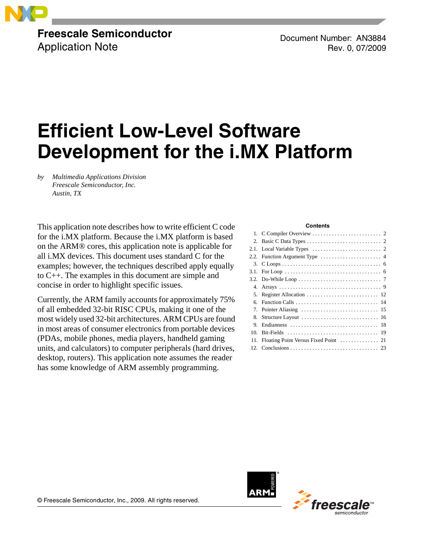

# **Freescale Semiconductor** Application Note

Document Number: AN3884 Rev. 0, 07/2009

# **Efficient Low-Level Software Development for the i.MX Platform**

*by Multimedia Applications Division Freescale Semiconductor, Inc. Austin, TX*

This application note describes how to write efficient C code for the i.MX platform. Because the i.MX platform is based on the ARM® cores, this application note is applicable for all i.MX devices. This document uses standard C for the examples; however, the techniques described apply equally to C++. The examples in this document are simple and concise in order to highlight specific issues.

Currently, the ARM family accounts for approximately 75% of all embedded 32-bit RISC CPUs, making it one of the most widely used 32-bit architectures. ARM CPUs are found in most areas of consumer electronics from portable devices (PDAs, mobile phones, media players, handheld gaming units, and calculators) to computer peripherals (hard drives, desktop, routers). This application note assumes the reader has some knowledge of ARM assembly programming.

#### **Contents**

| 5.  |                                                                                                |
|-----|------------------------------------------------------------------------------------------------|
| б.  |                                                                                                |
|     | 7. Pointer Aliasing $\ldots \ldots \ldots \ldots \ldots \ldots \ldots \ldots \ldots \ldots$ 15 |
|     |                                                                                                |
| 9.  |                                                                                                |
| 10. |                                                                                                |
| 11. |                                                                                                |
|     |                                                                                                |



© Freescale Semiconductor, Inc., 2009. All rights reserved.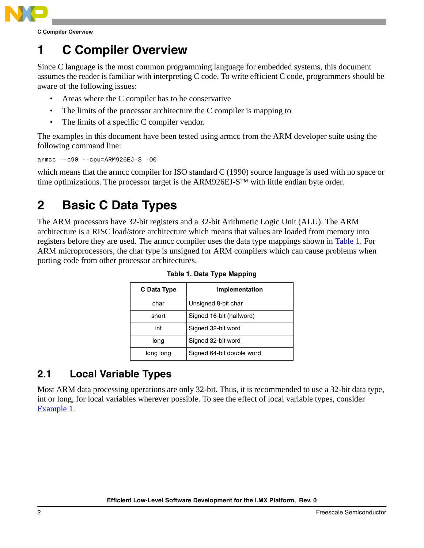

**C Compiler Overview**

# <span id="page-1-0"></span>**1 C Compiler Overview**

Since C language is the most common programming language for embedded systems, this document assumes the reader is familiar with interpreting C code. To write efficient C code, programmers should be aware of the following issues:

- Areas where the C compiler has to be conservative
- The limits of the processor architecture the C compiler is mapping to
- The limits of a specific C compiler vendor.

The examples in this document have been tested using armcc from the ARM developer suite using the following command line:

armcc --c90 --cpu=ARM926EJ-S -O0

which means that the armcc compiler for ISO standard C (1990) source language is used with no space or time optimizations. The processor target is the ARM926EJ-S™ with little endian byte order.

# <span id="page-1-1"></span>**2 Basic C Data Types**

<span id="page-1-3"></span>The ARM processors have 32-bit registers and a 32-bit Arithmetic Logic Unit (ALU). The ARM architecture is a RISC load/store architecture which means that values are loaded from memory into registers before they are used. The armcc compiler uses the data type mappings shown in [Table 1.](#page-1-3) For ARM microprocessors, the char type is unsigned for ARM compilers which can cause problems when porting code from other processor architectures.

| C Data Type | Implementation            |
|-------------|---------------------------|
| char        | Unsigned 8-bit char       |
| short       | Signed 16-bit (halfword)  |
| int         | Signed 32-bit word        |
| long        | Signed 32-bit word        |
| long long   | Signed 64-bit double word |

**Table 1. Data Type Mapping**

# <span id="page-1-2"></span>**2.1 Local Variable Types**

Most ARM data processing operations are only 32-bit. Thus, it is recommended to use a 32-bit data type, int or long, for local variables wherever possible. To see the effect of local variable types, consider [Example 1.](#page-2-0)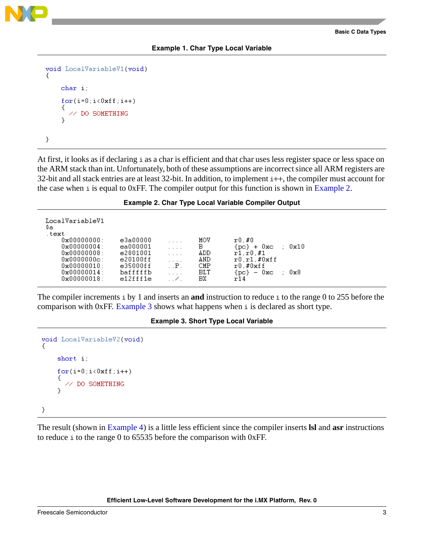

### **Example 1. Char Type Local Variable**

```
void LocalVariableV1(void)
ſ
    char i;
    for(i=0;i<0xff;i++)// DO SOMETHING
    ŋ.
}
```
At first, it looks as if declaring i as a char is efficient and that char uses less register space or less space on the ARM stack than int. Unfortunately, both of these assumptions are incorrect since all ARM registers are 32-bit and all stack entries are at least 32-bit. In addition, to implement i++, the compiler must account for the case when  $\pm$  is equal to 0xFF. The compiler output for this function is shown in [Example 2.](#page-2-1)

### **Example 2. Char Type Local Variable Compiler Output**

<span id="page-2-1"></span>

| LocalVariableV1<br>\$a<br>text |          |              |            |                              |
|--------------------------------|----------|--------------|------------|------------------------------|
| $0 \times 000000000:$          | e3a00000 |              | MOV        | r0.#0                        |
| $0 \times 000000004$ :         | ea000001 |              | в          | 0x10<br>$\{pc\}$ + $0xc$     |
| $0 \times 000000008$ :         | e2801001 |              | ADD        | r1.r0.f1                     |
| $0 \times 00000000c$ :         | e20100ff | .            | AND        | r0.r1.f0xff                  |
| $0 \times 000000010$ :         | e35000ff | $\mathbf{P}$ | CMP        | $r0$ .# $0$ xff              |
| $0 \times 00000014$ :          | bafffffb |              | <b>BLT</b> | $\{DC\} = 0 \times C$<br>0x8 |
| $0 \times 00000018$ :          | e12fff1e |              | BХ         | r 14                         |
|                                |          |              |            |                              |

The compiler increments i by 1 and inserts an **and** instruction to reduce i to the range 0 to 255 before the comparison with 0xFF. [Example 3](#page-2-2) shows what happens when i is declared as short type.

### **Example 3. Short Type Local Variable**

```
void LocalVariableV2(void)
£.
    short i;
    for(i=0;i<0xff;i++)Ł
      // DO SOMETHING
    Ą.
3
```
The result (shown in [Example 4](#page-3-1)) is a little less efficient since the compiler inserts **lsl** and **asr** instructions to reduce i to the range 0 to 65535 before the comparison with 0xFF.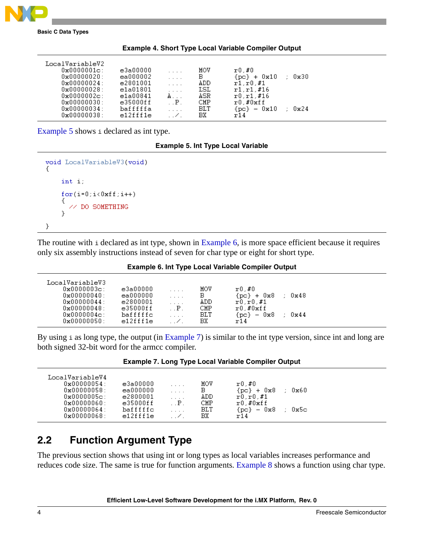

<span id="page-3-1"></span>

| <b>Basic C Data Types</b> |  |  |
|---------------------------|--|--|
|---------------------------|--|--|

| LocalVariableV2<br>$0x0000001c$ :<br>$0 \times 000000020$ :<br>$0 \times 000000024$ : | e3a00000<br>ea000002<br>e2801001 | .                 | MOV<br>в<br>ADD         | r0.#0<br>0x30<br>+ 0x10<br>{pc}-<br>r1.r0.f1  |  |
|---------------------------------------------------------------------------------------|----------------------------------|-------------------|-------------------------|-----------------------------------------------|--|
| $0 \times 000000028$ :<br>$0x0000002c$ :                                              | e1a01801<br>e1a00841             | A.,               | LSL<br>ASR              | $r1.r1.\#16$<br>$r0.r1$ ,#16                  |  |
| $0 \times 000000030$ :<br>$0 \times 000000034:$<br>$0 \times 00000038$ :              | e35000ff<br>bafffffa<br>e12fff1e | $\mathbf{P}$<br>. | CMP<br><b>BLT</b><br>BХ | $r0$ .#0xff<br>$-0x10$<br>0x24<br>{pc}<br>r14 |  |

#### **Example 4. Short Type Local Variable Compiler Output**

<span id="page-3-2"></span>[Example 5](#page-3-2) shows i declared as int type.

```
void LocalVariableV3(void)
Κ
    int i;
     for(i=0;i<0xff;i++)
       // DO SOMETHING
     <sup>}</sup>
}
```
The routine with i declared as int type, shown in [Example 6](#page-3-3), is more space efficient because it requires only six assembly instructions instead of seven for char type or eight for short type.

**Example 6. Int Type Local Variable Compiler Output**

<span id="page-3-3"></span>

| LocalVariableV3        |           |                                 |     |                                  |  |
|------------------------|-----------|---------------------------------|-----|----------------------------------|--|
| $0 \times 0000003c$ :  | e3a00000  | $\cdot$ $\cdot$ $\cdot$ $\cdot$ | MOV | r0.#0                            |  |
| $0 \times 000000040$ : | ea000000  | .                               | в   | ${po}$ + $0x8$<br>0x48           |  |
| $0 \times 000000044:$  | e2800001  | .                               | ADD | r0.r0.f1                         |  |
| $0 \times 000000048$ : | e35000f f | $\mathbf{P}$                    | CMP | $r0$ .# $0$ xff                  |  |
| $0 \times 00000004c$ : | bafffffc  | $\cdots$                        | BLT | $-0x8$<br>$0 \times 44$<br>{pc}- |  |
| $0 \times 000000050:$  | e12fff1e  | $\sim$                          | RХ  | T14                              |  |
|                        |           |                                 |     |                                  |  |

By using i as long type, the output (in [Example 7\)](#page-3-4) is similar to the int type version, since int and long are both signed 32-bit word for the armcc compiler.

<span id="page-3-4"></span>

| LocalVariableV4        |              |                          |            |                        |  |
|------------------------|--------------|--------------------------|------------|------------------------|--|
| $0 \times 000000054$ : | e3a00000     | .                        | MOV        | r0.#0                  |  |
| $0 \times 000000058:$  | ea000000     | $\cdots$                 | в          | ${po}$ + $0x8$<br>0x60 |  |
| $0x0000005c$ :         | e2800001     | .                        | ADD        | r0.r0.f1               |  |
| $0 \times 00000060:$   | $e35000f\,f$ | $\mathbb{P}$ .           | CMP        | $r0$ .# $0$ xff        |  |
| $0 \times 000000064:$  | bafffffc     | .                        | <b>BLT</b> | - 0x8<br>Ox5c<br>{pc}- |  |
| $0 \times 00000068:$   | e12fff1e     | $\overline{\phantom{a}}$ | BХ         | r14                    |  |
|                        |              |                          |            |                        |  |

## <span id="page-3-0"></span>**2.2 Function Argument Type**

The previous section shows that using int or long types as local variables increases performance and reduces code size. The same is true for function arguments. [Example 8](#page-4-0) shows a function using char type.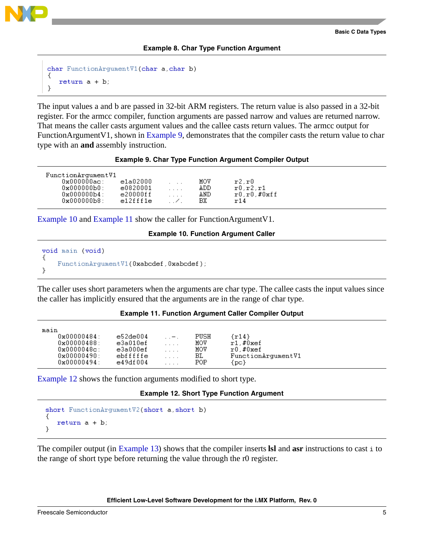

### **Example 8. Char Type Function Argument**

```
char FunctionArgumentV1(char a, char b)
₹
   return a + b;
}
```
The input values a and b are passed in 32-bit ARM registers. The return value is also passed in a 32-bit register. For the armcc compiler, function arguments are passed narrow and values are returned narrow. That means the caller casts argument values and the callee casts return values. The armcc output for FunctionArgumentV1, shown in [Example 9](#page-4-1), demonstrates that the compiler casts the return value to char type with an **and** assembly instruction.

### **Example 9. Char Type Function Argument Compiler Output**

<span id="page-4-1"></span>

| FunctionArgumentV1      |              |                         |      |                |
|-------------------------|--------------|-------------------------|------|----------------|
| $0x000000a$ c:          | e1a02000     | $\cdot$ $\cdot$ $\cdot$ | MOV  | r2.r0          |
| $0 \times 0000000 b0$   | e0820001     | .                       | ADD. | r0.r2.r1       |
| $0 \times 0000000 b4$ : | $e20000f\,f$ |                         | AND  | $r0.r0.\#0xff$ |
| $0 \times 0000000 b8$ : | e12fff1e     | $\sim$ $\sim$           | ВX   | r14            |

<span id="page-4-2"></span>[Example 10](#page-4-2) and [Example 11](#page-4-4) show the caller for FunctionArgumentV1.

### **Example 10. Function Argument Caller**

```
void main (void)
₹
    FunctionArgumentV1(0xabcdef,0xabcdef);
}
```
The caller uses short parameters when the arguments are char type. The callee casts the input values since the caller has implicitly ensured that the arguments are in the range of char type.

### **Example 11. Function Argument Caller Compiler Output**

<span id="page-4-4"></span>

| maın                   |          |            |      |                    |
|------------------------|----------|------------|------|--------------------|
| $0 \times 000000484$   | e52de004 | $\ldots -$ | PUSH | $\{r14\}$          |
| $0 \times 00000488:$   | e3a010ef | $\cdots$   | MOV  | $r1$ ,#0xef        |
| $0 \times 00000048c$ : | e3a000ef | .          | MOV  | r0.#0xef           |
| $0 \times 000000490$ : | ebfffffe | .          | ВL   | FunctionArgumentV1 |
| $0 \times 000000494$ : | e49df004 | .          | POP  | {pc}               |
|                        |          |            |      |                    |

<span id="page-4-3"></span>[Example 12](#page-4-3) shows the function arguments modified to short type.

### **Example 12. Short Type Function Argument**

```
short FunctionArgumentV2(short a, short b)
₹
   return a + b;
ŀ
```
The compiler output (in [Example 13\)](#page-5-2) shows that the compiler inserts **lsl** and **asr** instructions to cast i to the range of short type before returning the value through the r0 register.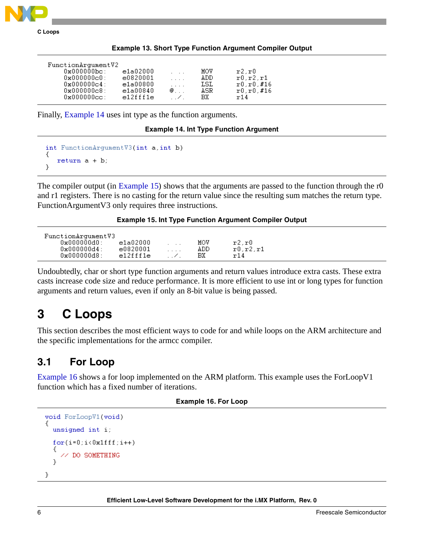

|  |  |  |  | <b>Example 13. Short Type Function Argument Compiler Output</b> |  |  |
|--|--|--|--|-----------------------------------------------------------------|--|--|
|--|--|--|--|-----------------------------------------------------------------|--|--|

<span id="page-5-2"></span>

| FunctionArgumentV2     |          |                      |      |              |
|------------------------|----------|----------------------|------|--------------|
| $0x000000bc$ :         | e1a02000 | $\sim$ $\sim$ $\sim$ | MOV  | r2.r0        |
| 0x000000c0:            | e0820001 | $\cdots$             | ADD. | r0.r2.r1     |
| $0 \times 0000000c4$ : | e1a00800 | $\cdots$             | LSL  | $r0.r0.\#16$ |
| $0x000000c8$ :         | e1a00840 | $\circledcirc$       | ASR. | r0, r0, #16  |
| $0x000000cc$ :         | e12fff1e | $\sim$ 1.1 $\sim$    | BX.  | r14          |

<span id="page-5-3"></span>Finally, [Example 14](#page-5-3) uses int type as the function arguments.

**Example 14. Int Type Function Argument**

```
int FunctionArgumentV3(int a, int b)
₹
   return a + b;
}
```
The compiler output (in [Example 15\)](#page-5-4) shows that the arguments are passed to the function through the r0 and r1 registers. There is no casting for the return value since the resulting sum matches the return type. FunctionArgumentV3 only requires three instructions.

**Example 15. Int Type Function Argument Compiler Output**

<span id="page-5-4"></span>

| FunctionArgumentV3      |          |                 |     |          |  |
|-------------------------|----------|-----------------|-----|----------|--|
| $0 \times 0000000 d0$ : | e1a02000 | $\cdot$ $\cdot$ | MOV | r2.r0    |  |
| $0 \times 000000004:$   | e0820001 | .               | ADD | r0.r2.r1 |  |
| $0 \times 0000000 d8$ : | e12fff1e |                 | BХ  | r14      |  |

Undoubtedly, char or short type function arguments and return values introduce extra casts. These extra casts increase code size and reduce performance. It is more efficient to use int or long types for function arguments and return values, even if only an 8-bit value is being passed.

# <span id="page-5-0"></span>**3 C Loops**

This section describes the most efficient ways to code for and while loops on the ARM architecture and the specific implementations for the armcc compiler.

## <span id="page-5-1"></span>**3.1 For Loop**

[Example 16](#page-5-5) shows a for loop implemented on the ARM platform. This example uses the ForLoopV1 function which has a fixed number of iterations.

### **Example 16. For Loop**

```
void ForLoopV1(void)
 unsigned int i;
  for(i=0;i<0x1fff;i++)// DO SOMETHING
  þ.
}
```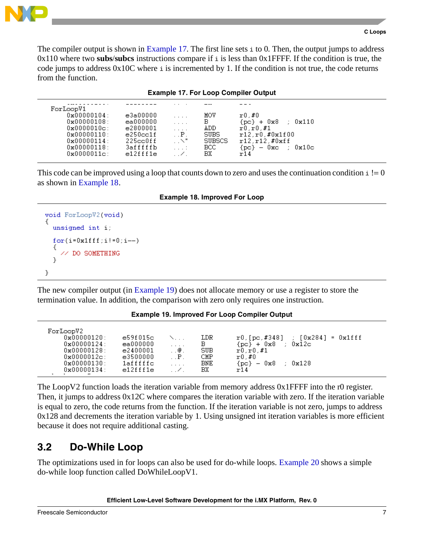The compiler output is shown in [Example 17.](#page-6-1) The first line sets  $\pm$  to 0. Then, the output jumps to address 0x110 where two **subs**/**subcs** instructions compare if i is less than 0x1FFFF. If the condition is true, the code jumps to address 0x10C where i is incremented by 1. If the condition is not true, the code returns from the function.

|  |  |  |  |  | <b>Example 17. For Loop Compiler Output</b> |  |
|--|--|--|--|--|---------------------------------------------|--|
|--|--|--|--|--|---------------------------------------------|--|

<span id="page-6-1"></span>

| ForLoopV1              |          |                                 |               |                             |
|------------------------|----------|---------------------------------|---------------|-----------------------------|
| $0 \times 000000104$ : | e3a00000 | $\cdot$ $\cdot$ $\cdot$ $\cdot$ | MOV           | r0.#0                       |
| 0x00000108:            | ea000000 | 1.1.1                           | B.            | $\{pc\}$ + $0x8$<br>: 0x110 |
| $0 \times 0000010c$ :  | e2800001 | $\ldots$ .                      | ADD           | r0.r0.f1                    |
| $0 \times 00000110$ :  | e250cc1f | $\mathbf{P}$                    | <b>SUBS</b>   | r12, r0, #0x1f00            |
| $0 \times 00000114$ :  | 225cc0ff | $\sim$ N $^{\prime\prime}$      | <b>SUBSCS</b> | r12.r12.f0xff               |
| $0 \times 00000118$ :  | 3afffffb | 1.1.1                           | BCC.          | ${po} - 0xc$ : $0x10c$      |
| $0x0000011c$ :         | e12fff1e | . . Z .                         | BX.           | r14                         |

This code can be improved using a loop that counts down to zero and uses the continuation condition  $i := 0$ as shown in [Example 18](#page-6-2).

**Example 18. Improved For Loop**

```
void ForLoopV2(void)
 unsigned int i;
  for(i=0x1fff;i!=0;i--)// DO SOMETHING
  Þ
}
```
The new compiler output (in [Example 19\)](#page-6-3) does not allocate memory or use a register to store the termination value. In addition, the comparison with zero only requires one instruction.

### **Example 19. Improved For Loop Compiler Output**

<span id="page-6-3"></span>

| ForLoopV2              |          |         |            |                                          |                         |
|------------------------|----------|---------|------------|------------------------------------------|-------------------------|
| $0 \times 00000120$ :  | e59f015c |         | LDR        | $r0$ , [pc, #348]                        | : [0x284]<br>$= 0x1fff$ |
| $0 \times 00000124$ :  | ea000000 | .       | в          | ${po}$ + $0x8$                           | 0x12c                   |
| $0 \times 00000128$ :  | e2400001 | . @ .   | SUB        | r0.r0.f1                                 |                         |
| $0 \times 0000012c$ :  | e3500000 | . . P . | CMP        | r0.#0                                    |                         |
| 0x00000130:            | 1afffffc | .       | <b>BNE</b> | 0x8<br>{pc}-<br>$\overline{\phantom{a}}$ | 0x128                   |
| $0 \times 000000134$ : | e12fff1e |         | BХ         | r14                                      |                         |
|                        |          |         |            |                                          |                         |

The LoopV2 function loads the iteration variable from memory address 0x1FFFF into the r0 register. Then, it jumps to address 0x12C where compares the iteration variable with zero. If the iteration variable is equal to zero, the code returns from the function. If the iteration variable is not zero, jumps to address 0x128 and decrements the iteration variable by 1. Using unsigned int iteration variables is more efficient because it does not require additional casting.

## <span id="page-6-0"></span>**3.2 Do-While Loop**

The optimizations used in for loops can also be used for do-while loops. [Example 20](#page-7-0) shows a simple do-while loop function called DoWhileLoopV1.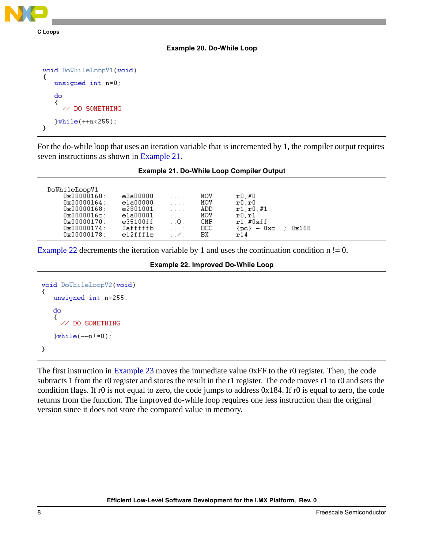

## <span id="page-7-0"></span>unsigned int n=0; do € // DO SOMETHING  $}$ while(++n<255);

}

For the do-while loop that uses an iteration variable that is incremented by 1, the compiler output requires seven instructions as shown in [Example 21.](#page-7-1)

## **Example 21. Do-While Loop Compiler Output**

<span id="page-7-1"></span>

| DoWhileLoopV1          |          |                                 |      |                                     |
|------------------------|----------|---------------------------------|------|-------------------------------------|
| $0 \times 00000160$ :  | e3a00000 | $\cdot$ $\cdot$ $\cdot$ $\cdot$ | MOV  | r0.#0                               |
| $0 \times 000000164$ : | e1a00000 | $\cdots$                        | MOV  | x0.r0                               |
| $0 \times 00000168$ :  | e2801001 | $\cdot$ $\cdot$ $\cdot$ $\cdot$ | ADD  | r1.r0.f1                            |
| $0x0000016c$ :         | e1a00001 | $\cdot$ $\cdot$ $\cdot$ $\cdot$ | MOV  | r0.r1                               |
| $0 \times 000000170$ : | e35100ff | $\ldots$ Q.                     | CMP  | $r1$ ,#0xff                         |
| $0 \times 00000174$ :  | 3afffffb | 1.1.1                           | BCC. | $-0x$ c<br>0x168<br>{pc}-<br>$\sim$ |
| $0 \times 00000178$ :  | e12fff1e | $\overline{\phantom{a}}$        | BХ   | m14                                 |
|                        |          |                                 |      |                                     |

<span id="page-7-2"></span>[Example 22](#page-7-2) decrements the iteration variable by 1 and uses the continuation condition  $n = 0$ .

## **Example 22. Improved Do-While Loop**

```
void DoWhileLoopV2(void)
   unsigned int n=255;
   do
     // DO SOMETHING
   \}while (-n!=0);}
```
The first instruction in [Example 23](#page-8-1) moves the immediate value 0xFF to the r0 register. Then, the code subtracts 1 from the r0 register and stores the result in the r1 register. The code moves r1 to r0 and sets the condition flags. If r0 is not equal to zero, the code jumps to address 0x184. If r0 is equal to zero, the code returns from the function. The improved do-while loop requires one less instruction than the original version since it does not store the compared value in memory.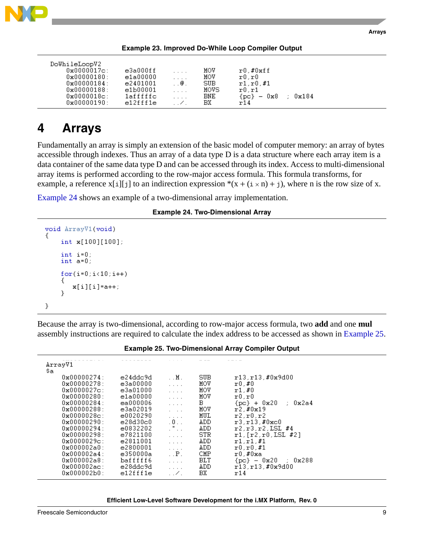

|--|

<span id="page-8-1"></span>

| DoWhileLoopV2<br>$0 \times 0000017c$ :<br>$0 \times 00000180$ :<br>$0 \times 00000184$ :<br>$0 \times 00000188$ : | e3a000ff<br>e1a00000<br>e2401001<br>e1b00001 | $\cdot$ $\cdot$ $\cdot$ $\cdot$<br>$\cdot$ $\cdot$ $\cdot$ $\cdot$<br>$\mathbb{R}^n$ , $\mathbb{Q}$ , $\mathbb{R}^n$<br>$\cdots$ | MOV<br>MOV<br>SUB.<br>MOVS | $r0$ ,#0xff<br>$\texttt{r0}$ . $\texttt{r0}$<br>r1.r0.f1<br>r0.r1 |             |
|-------------------------------------------------------------------------------------------------------------------|----------------------------------------------|----------------------------------------------------------------------------------------------------------------------------------|----------------------------|-------------------------------------------------------------------|-------------|
| $0x0000018c$ :                                                                                                    | 1afffffc                                     | $\cdots$                                                                                                                         | BNE.                       | ${po} - 0x8$                                                      | $\pm$ 0x184 |
| $0 \times 00000190$ :                                                                                             | e12fff1e                                     | $\sim$                                                                                                                           | ВX                         | r14                                                               |             |

# <span id="page-8-0"></span>**4 Arrays**

Fundamentally an array is simply an extension of the basic model of computer memory: an array of bytes accessible through indexes. Thus an array of a data type D is a data structure where each array item is a data container of the same data type D and can be accessed through its index. Access to multi-dimensional array items is performed according to the row-major access formula. This formula transforms, for example, a reference  $x[i][j]$  to an indirection expression  $*(x + (i \times n) + j)$ , where n is the row size of x.

<span id="page-8-2"></span>[Example 24](#page-8-2) shows an example of a two-dimensional array implementation.

### **Example 24. Two-Dimensional Array**

```
void ArrayV1(void)
    int x[100][100];
    int i=0;
    int a=0;
    for(i=0;i<10;i++)x[i][i] = a++;Υ
}
```
Because the array is two-dimensional, according to row-major access formula, two **add** and one **mul** assembly instructions are required to calculate the index address to be accessed as shown in [Example 25](#page-8-3).

<span id="page-8-3"></span>

| ArrayV1<br>\$a |                        |          |                                                                 |            |                          |
|----------------|------------------------|----------|-----------------------------------------------------------------|------------|--------------------------|
|                | $0 \times 000000274$ : | e24ddc9d | . . M .                                                         | SUB.       | r13, r13, #0x9d00        |
|                | $0 \times 000000278$ : | e3a00000 | 1.1.11                                                          | MOV        | r0,#0                    |
|                | $0 \times 00000027c$ : | e3a01000 | $\ldots$ .                                                      | MOV        | x1.#0                    |
|                | $0 \times 000000280$ : | e1a00000 | .                                                               | MOV        | r0.r0                    |
|                | $0 \times 000000284$ : | ea000006 | $\ldots$                                                        | B.         | ${po} + 0x20$<br>: Ox2a4 |
|                | $0 \times 000000288$ : | e3a02019 | $\cdot$ $\cdot$ $\cdot$                                         | MOV        | r2. #0x19                |
|                | $0 \times 00000028c$ : | e0020290 | $\mathcal{L}^{\pm}$ , $\mathcal{L}^{\pm}$ , $\mathcal{L}^{\pm}$ | MUL        | r2.r0.r2                 |
|                | $0 \times 00000290$ :  | e28d30c0 | .0.1                                                            | ADD.       | r3.r13.f0xc0             |
|                | $0 \times 000000294$ : | e0832202 | .                                                               | ADD.       | r2.r3.r2.LSL #4          |
|                | $0 \times 000000298:$  | e7821100 | $\cdot$ $\cdot$ $\cdot$ $\cdot$                                 | STR.       | r1, [r2, r0, LSL #2]     |
|                | $0 \times 0000029c$ :  | e2811001 | $\cdots$                                                        | ADD.       | r1.r1.f1                 |
|                | $0 \times 000002a0$ :  | e2800001 | $\mathcal{L}^{\pm}$ , $\mathcal{L}^{\pm}$ , $\mathcal{L}^{\pm}$ | ADD.       | r0.r0.f1                 |
|                | $0 \times 0000002a4$ : | e350000a | $\mathbf{P} \cdot \mathbf{P}$                                   | CMP        | r0.#0xa                  |
|                | $0x000002a8$ :         | bafffff6 | $\ldots$                                                        | <b>BLT</b> | ${pcl} - 0x20$ : $0x288$ |
|                | $0x000002ac$ :         | e28ddc9d | $\cdot$ $\cdot$ $\cdot$ $\cdot$                                 | ADD.       | r13.r13.#0x9d00          |
|                | 0x000002b0:            | e12fff1e | .                                                               | ВX         | r14                      |

### **Example 25. Two-Dimensional Array Compiler Output**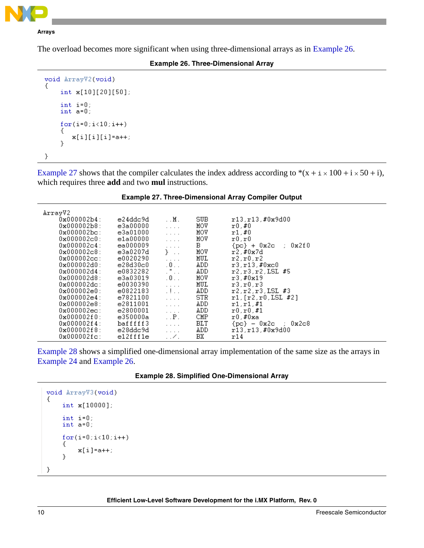

### **Arrays**

<span id="page-9-0"></span>The overload becomes more significant when using three-dimensional arrays as in [Example 26.](#page-9-0)

### **Example 26. Three-Dimensional Array**

```
void ArrayV2(void)
€
    int x[10][20][50];
    int i=0;
    int a=0;
    for(i=0;i<10;i++)-1
       x[i][i][i]=a++;
    }
}
```
[Example 27](#page-9-1) shows that the compiler calculates the index address according to  $*(x + i \times 100 + i \times 50 + i)$ , which requires three **add** and two **mul** instructions.

<span id="page-9-1"></span>

| ArrayV2<br>SUB.<br>$0 \times 000002 b4:$<br>e24ddc9d<br>$\ldots$ M $\ldots$<br>r13, r13, #0x9d00<br>$0x000002b8$ :<br>MOV<br>e3a00000<br>r0.#0<br>$\mathcal{L}^{\mathcal{A}}$ , $\mathcal{L}^{\mathcal{A}}$ , $\mathcal{L}^{\mathcal{A}}$<br>$0x000002bc$ :<br>e3a01000<br>MOV<br>x1, #0<br>$\ldots$ .<br>MOV<br>0x000002c0:<br>e1a00000<br>$\mathtt{r0}$ , $\mathtt{r0}$<br>$\cdot$ $\cdot$ $\cdot$ $\cdot$<br>B.<br>$0 \times 000002c4$ :<br>ea000009<br>${pc}$ + 0x2c ; 0x2f0<br>$\mathcal{L}^{\pm}$ , $\mathcal{L}^{\pm}$ , $\mathcal{L}^{\pm}$<br>MOV<br>$0 \times 000002c8$ :<br>$\}$ .<br>r2,#0x7d<br>e3a0207d<br>$0 \times 000002$ cc:<br>MUL<br>r2.r0.r2<br>e0020290<br>$\cdot$ $\cdot$ $\cdot$ $\cdot$<br>.0.1<br>ADD.<br>e28d30c0<br>$0 \times 0000002$ d $0$ :<br>r3.r13.F0xc0<br>$\mathbb{Z}^{\mathfrak{m}}$ . $\mathbb{Z}$<br>r2.r3.r2.LSL #5<br>$0 \times 000002$ d4 :<br>e0832282<br>ADD.<br>.0.1<br>$0 \times 000002$ d8:<br>e3a03019<br>MOV<br>r3.#0x19<br>MUL<br>$0x000002d$ c:<br>e0030390<br>r3.r0.r3<br>$\mathcal{L}^{\mathcal{A}}$ , $\mathcal{L}^{\mathcal{A}}$ , $\mathcal{L}^{\mathcal{A}}$<br>$\pm 1 \pm 1$<br>0x000002e0:<br>e0822183<br>ADD.<br>$r2.r2.r3.LSL$ #3<br>STR.<br>$0 \times 000002e4$ :<br>r1, [r2, r0, LSL #2]<br>e7821100<br>$\mathcal{L}^{\mathcal{A}}$ , $\mathcal{L}^{\mathcal{A}}$ , $\mathcal{L}^{\mathcal{A}}$<br>0x000002e8:<br>e2811001<br>ADD<br>r1.r1.f1<br>$\ldots$<br>$0x000002ec$ :<br>e2800001<br>ADD.<br>r0.r0.f1<br>$\alpha$ , $\alpha$ , $\alpha$<br>CMP<br>$0 \times 000002f0$ :<br>e350000a<br>$\ldots$ P $\ldots$<br>$r0.$ #0xa<br>BLT<br>$0 \times 000002f4$ :<br>bafffff3<br>${po} - 0x2c$ ; $0x2c8$<br>$\mathbf{1}$<br>$0 \times 000002f8$ :<br>e28ddc9d<br>ADD<br>r13.r13.#0x9d00<br>$\cdots$<br>e12fff1e<br>BХ<br>$0x000002fc$ :<br>r14 |  |  |  |
|------------------------------------------------------------------------------------------------------------------------------------------------------------------------------------------------------------------------------------------------------------------------------------------------------------------------------------------------------------------------------------------------------------------------------------------------------------------------------------------------------------------------------------------------------------------------------------------------------------------------------------------------------------------------------------------------------------------------------------------------------------------------------------------------------------------------------------------------------------------------------------------------------------------------------------------------------------------------------------------------------------------------------------------------------------------------------------------------------------------------------------------------------------------------------------------------------------------------------------------------------------------------------------------------------------------------------------------------------------------------------------------------------------------------------------------------------------------------------------------------------------------------------------------------------------------------------------------------------------------------------------------------------------------------------------------------------------------------------------------------------------------------------------------------------------|--|--|--|
|                                                                                                                                                                                                                                                                                                                                                                                                                                                                                                                                                                                                                                                                                                                                                                                                                                                                                                                                                                                                                                                                                                                                                                                                                                                                                                                                                                                                                                                                                                                                                                                                                                                                                                                                                                                                            |  |  |  |
|                                                                                                                                                                                                                                                                                                                                                                                                                                                                                                                                                                                                                                                                                                                                                                                                                                                                                                                                                                                                                                                                                                                                                                                                                                                                                                                                                                                                                                                                                                                                                                                                                                                                                                                                                                                                            |  |  |  |
|                                                                                                                                                                                                                                                                                                                                                                                                                                                                                                                                                                                                                                                                                                                                                                                                                                                                                                                                                                                                                                                                                                                                                                                                                                                                                                                                                                                                                                                                                                                                                                                                                                                                                                                                                                                                            |  |  |  |
|                                                                                                                                                                                                                                                                                                                                                                                                                                                                                                                                                                                                                                                                                                                                                                                                                                                                                                                                                                                                                                                                                                                                                                                                                                                                                                                                                                                                                                                                                                                                                                                                                                                                                                                                                                                                            |  |  |  |
|                                                                                                                                                                                                                                                                                                                                                                                                                                                                                                                                                                                                                                                                                                                                                                                                                                                                                                                                                                                                                                                                                                                                                                                                                                                                                                                                                                                                                                                                                                                                                                                                                                                                                                                                                                                                            |  |  |  |
|                                                                                                                                                                                                                                                                                                                                                                                                                                                                                                                                                                                                                                                                                                                                                                                                                                                                                                                                                                                                                                                                                                                                                                                                                                                                                                                                                                                                                                                                                                                                                                                                                                                                                                                                                                                                            |  |  |  |
|                                                                                                                                                                                                                                                                                                                                                                                                                                                                                                                                                                                                                                                                                                                                                                                                                                                                                                                                                                                                                                                                                                                                                                                                                                                                                                                                                                                                                                                                                                                                                                                                                                                                                                                                                                                                            |  |  |  |
|                                                                                                                                                                                                                                                                                                                                                                                                                                                                                                                                                                                                                                                                                                                                                                                                                                                                                                                                                                                                                                                                                                                                                                                                                                                                                                                                                                                                                                                                                                                                                                                                                                                                                                                                                                                                            |  |  |  |
|                                                                                                                                                                                                                                                                                                                                                                                                                                                                                                                                                                                                                                                                                                                                                                                                                                                                                                                                                                                                                                                                                                                                                                                                                                                                                                                                                                                                                                                                                                                                                                                                                                                                                                                                                                                                            |  |  |  |
|                                                                                                                                                                                                                                                                                                                                                                                                                                                                                                                                                                                                                                                                                                                                                                                                                                                                                                                                                                                                                                                                                                                                                                                                                                                                                                                                                                                                                                                                                                                                                                                                                                                                                                                                                                                                            |  |  |  |
|                                                                                                                                                                                                                                                                                                                                                                                                                                                                                                                                                                                                                                                                                                                                                                                                                                                                                                                                                                                                                                                                                                                                                                                                                                                                                                                                                                                                                                                                                                                                                                                                                                                                                                                                                                                                            |  |  |  |
|                                                                                                                                                                                                                                                                                                                                                                                                                                                                                                                                                                                                                                                                                                                                                                                                                                                                                                                                                                                                                                                                                                                                                                                                                                                                                                                                                                                                                                                                                                                                                                                                                                                                                                                                                                                                            |  |  |  |
|                                                                                                                                                                                                                                                                                                                                                                                                                                                                                                                                                                                                                                                                                                                                                                                                                                                                                                                                                                                                                                                                                                                                                                                                                                                                                                                                                                                                                                                                                                                                                                                                                                                                                                                                                                                                            |  |  |  |
|                                                                                                                                                                                                                                                                                                                                                                                                                                                                                                                                                                                                                                                                                                                                                                                                                                                                                                                                                                                                                                                                                                                                                                                                                                                                                                                                                                                                                                                                                                                                                                                                                                                                                                                                                                                                            |  |  |  |
|                                                                                                                                                                                                                                                                                                                                                                                                                                                                                                                                                                                                                                                                                                                                                                                                                                                                                                                                                                                                                                                                                                                                                                                                                                                                                                                                                                                                                                                                                                                                                                                                                                                                                                                                                                                                            |  |  |  |
|                                                                                                                                                                                                                                                                                                                                                                                                                                                                                                                                                                                                                                                                                                                                                                                                                                                                                                                                                                                                                                                                                                                                                                                                                                                                                                                                                                                                                                                                                                                                                                                                                                                                                                                                                                                                            |  |  |  |
|                                                                                                                                                                                                                                                                                                                                                                                                                                                                                                                                                                                                                                                                                                                                                                                                                                                                                                                                                                                                                                                                                                                                                                                                                                                                                                                                                                                                                                                                                                                                                                                                                                                                                                                                                                                                            |  |  |  |
|                                                                                                                                                                                                                                                                                                                                                                                                                                                                                                                                                                                                                                                                                                                                                                                                                                                                                                                                                                                                                                                                                                                                                                                                                                                                                                                                                                                                                                                                                                                                                                                                                                                                                                                                                                                                            |  |  |  |
|                                                                                                                                                                                                                                                                                                                                                                                                                                                                                                                                                                                                                                                                                                                                                                                                                                                                                                                                                                                                                                                                                                                                                                                                                                                                                                                                                                                                                                                                                                                                                                                                                                                                                                                                                                                                            |  |  |  |
|                                                                                                                                                                                                                                                                                                                                                                                                                                                                                                                                                                                                                                                                                                                                                                                                                                                                                                                                                                                                                                                                                                                                                                                                                                                                                                                                                                                                                                                                                                                                                                                                                                                                                                                                                                                                            |  |  |  |

### **Example 27. Three-Dimensional Array Compiler Output**

[Example 28](#page-9-2) shows a simplified one-dimensional array implementation of the same size as the arrays in [Example 24](#page-8-2) and [Example 26](#page-9-0).

|  | <b>Example 28. Simplified One-Dimensional Array</b> |
|--|-----------------------------------------------------|
|--|-----------------------------------------------------|

```
void ArrayV3(void)
€
    int x[10000];
    int i=0;
    int a=0;for(i=0;i<10;i++)€
         x[i] = a++;\mathcal{E}3
```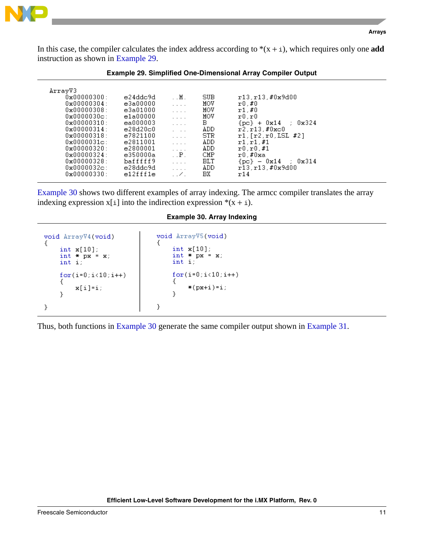



In this case, the compiler calculates the index address according to  $*(x + i)$ , which requires only one **add** instruction as shown in [Example 29.](#page-10-0)

<span id="page-10-0"></span>

|                                                                                                                                                                                                                                                                                                                           |                                                                                                                                                          |                                                                                                                                                    |                                                                                         | <b>Example 29. Simplified One-Dimensional Array Compiler Output</b>                                                                                                                                                        |  |
|---------------------------------------------------------------------------------------------------------------------------------------------------------------------------------------------------------------------------------------------------------------------------------------------------------------------------|----------------------------------------------------------------------------------------------------------------------------------------------------------|----------------------------------------------------------------------------------------------------------------------------------------------------|-----------------------------------------------------------------------------------------|----------------------------------------------------------------------------------------------------------------------------------------------------------------------------------------------------------------------------|--|
| ArravV3<br>$0 \times 000000300:$<br>$0 \times 000000304$ :<br>$0 \times 000000308$ :<br>$0 \times 00000030c$ :<br>$0 \times 00000310$ :<br>$0 \times 000000314$ :<br>$0 \times 000000318$ :<br>$0x0000031c$ :<br>$0 \times 000000320:$<br>$0 \times 000000324:$<br>$0 \times 000000328:$<br>$0x0000032c$ :<br>0x00000330: | e24ddc9d<br>e3a00000<br>e3a01000<br>e1a00000<br>ea000003<br>e28d20c0<br>e7821100<br>e2811001<br>e2800001<br>e350000a<br>bafffff9<br>e28ddc9d<br>e12fff1e | . . M .<br>.<br>.<br>.<br>.<br>$\cdot$ $\cdot$ $\cdot$<br>.<br>.<br>$\cdots$<br>$\cdot$ . $P$ .<br>.<br>$\cdot$ $\cdot$ $\cdot$ $\cdot$<br>. . 7 . | SUB.<br>MOV<br>MOV<br>MOV<br>в<br>ADD<br>STR<br>ADD.<br>ADD.<br>CMP<br>BLT<br>ADD<br>BХ | r13.r13.#0x9d00<br>r0.#0<br>x1.#0<br>$\mathtt{r0}$ . $\mathtt{r0}$<br>${po}$ + 0x14 : 0x324<br>r2.r13.f0xc0<br>r1. [r2.r0.ISL #2]<br>r1.r1.f1<br>r0.r0.#1<br>r0.#0xa<br>${po} = 0x14 : 0x314$<br>$r13.r13.\#0x9d00$<br>r14 |  |

## **Example 29. Simplified One-Dimensional Array Compiler Output**

[Example 30](#page-10-1) shows two different examples of array indexing. The armcc compiler translates the array indexing expression  $x[i]$  into the indirection expression  $*(x + i)$ .

**Example 30. Array Indexing**

```
void ArrayV5(void)
void ArrayV4(void)
€
                                  €
                                       int x[10];
    int x[10];
                                       int * px = x;<br>int i;
    int * px = x;
    int i;
                                       for(i=0;i<10;i++)for(i=0;i<10;i++)€
    ι
                                            *(px+i)=i;
         x[i]=i;
                                       \}\mathcal{P}}
                                  }
```
Thus, both functions in [Example 30](#page-10-1) generate the same compiler output shown in [Example 31](#page-11-1).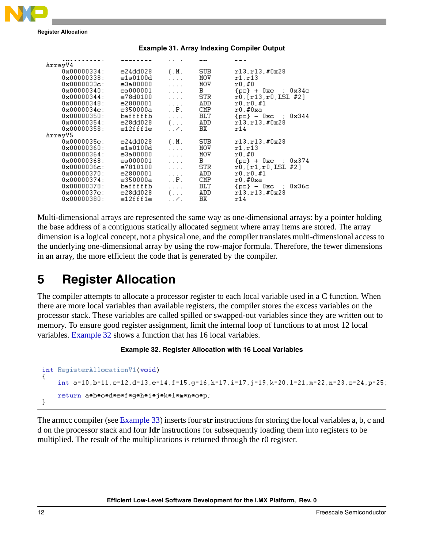

**Register Allocation**

<span id="page-11-1"></span>

| ArrayV4                |          |                                                                         |      |                                                          |
|------------------------|----------|-------------------------------------------------------------------------|------|----------------------------------------------------------|
| $0 \times 000000334:$  | e24dd028 | (M.                                                                     | SUB. | r13.r13.#0x28                                            |
| $0 \times 000000338$ : | e1a0100d | $\ldots$ .                                                              | MOV  | r1.r13                                                   |
| $0x0000033c$ :         | e3a00000 | $\mathbb{R}^n$ . In the $\mathbb{R}^n$                                  | MOV  | r0,#0                                                    |
| $0 \times 000000340$ : | ea000001 | $\ldots$                                                                | B.   | ${pc}$ + 0xc ; 0x34c                                     |
| $0 \times 00000344$ :  | e78d0100 | $\mathbb{Z}^2$ . In the $\mathbb{Z}^2$                                  | STR  | r0, [r13, r0, LSL #2]                                    |
| $0 \times 000000348$ : | e2800001 |                                                                         | ADD. | r0.r0.#1                                                 |
| $0x0000034c$ :         | e350000a | $\mathbb{R}^n$ . In the $\mathbb{R}^n$<br>$\mathbf{P} \cdot \mathbf{P}$ | CMP. | r0.#0xa                                                  |
| 0x00000350:            | bafffffb |                                                                         | BLT  | ${pc} - 0xc$ ; $0x344$                                   |
| $0 \times 00000354:$   |          | $\mathbb{Z}^2$ . The set                                                | ADD. | r13.r13.#0x28                                            |
|                        | e28dd028 | $($ . $)$                                                               |      |                                                          |
| $0 \times 00000358$ :  | e12fff1e | . . 7 .                                                                 | ВX   | r14.                                                     |
| ArravV5                |          |                                                                         |      |                                                          |
| $0 \times 0000035c$ :  | e24dd028 | $(\cdot, M)$ .                                                          | SUB. | r13.r13.#0x28                                            |
| 0x00000360:            | e1a0100d | $\cdots$                                                                | MOV  | r1.r13                                                   |
| 0x00000364:            | e3a00000 | $\ldots$ .                                                              | MOV  | r0.#0                                                    |
| $0 \times 00000368$ :  | ea000001 | $\ldots$ .                                                              | в.   | ${po}$ + 0xc ; 0x374                                     |
| $0x0000036c$ :         | e7810100 | $\ldots$                                                                | STR. | r0.[r1.r0.LSL #2]                                        |
| $0 \times 00000370$ :  | e2800001 | $\ldots$ .                                                              | ADD. | r0.r0.#1                                                 |
| 0x00000374:            | e350000a | $\cdot$ . $P$ .                                                         | CMP. | r0.#0xa                                                  |
| 0x00000378:            | bafffffb | $\ldots$                                                                | BLT  | $\{ {\tt pc} \}$ - $0 {\tt xc}$ ; $0 {\tt x} 36 {\tt c}$ |
| $0x0000037c$ :         | e28dd028 | $(\ldots)$                                                              | ADD  | r13, r13, #0x28                                          |
| $0 \times 000000380:$  | e12fff1e | $\ldots$                                                                | BХ   | r14                                                      |
|                        |          |                                                                         |      |                                                          |

**Example 31. Array Indexing Compiler Output**

Multi-dimensional arrays are represented the same way as one-dimensional arrays: by a pointer holding the base address of a contiguous statically allocated segment where array items are stored. The array dimension is a logical concept, not a physical one, and the compiler translates multi-dimensional access to the underlying one-dimensional array by using the row-major formula. Therefore, the fewer dimensions in an array, the more efficient the code that is generated by the compiler.

# <span id="page-11-0"></span>**5 Register Allocation**

The compiler attempts to allocate a processor register to each local variable used in a C function. When there are more local variables than available registers, the compiler stores the excess variables on the processor stack. These variables are called spilled or swapped-out variables since they are written out to memory. To ensure good register assignment, limit the internal loop of functions to at most 12 local variables. [Example 32](#page-11-2) shows a function that has 16 local variables.

### **Example 32. Register Allocation with 16 Local Variables**

```
int RegisterAllocationV1(void)
₹
   int a=10,b=11,c=12,d=13,e=14,f=15,g=16,h=17,i=17,j=19,k=20,l=21,m=22,n=23,o=24,p=25;
   return a*b*c*d*e*f*g*h*i*j*k*l*m*n*o*p;
}
```
The armcc compiler (see [Example 33](#page-12-0)) inserts four **str** instructions for storing the local variables a, b, c and d on the processor stack and four **ldr** instructions for subsequently loading them into registers to be multiplied. The result of the multiplications is returned through the r0 register.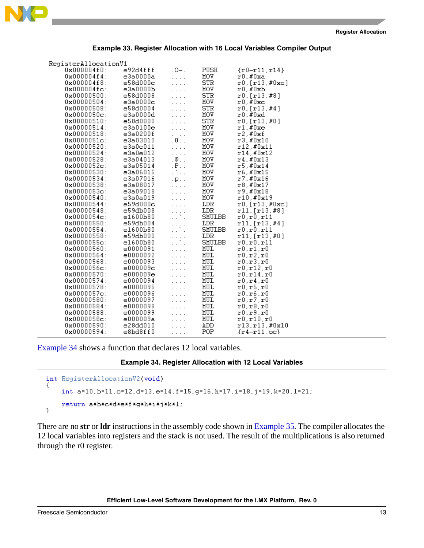

<span id="page-12-0"></span>

| RegisterAllocationV1        |                      |                                        |            |                                         |
|-----------------------------|----------------------|----------------------------------------|------------|-----------------------------------------|
| $0x000004f0$ :              | e92d4fff             | $.0-.$                                 | PUSH       | ${r0-r11,r14}$                          |
| $0x0000004f4$ :             | e3a0000a             | .                                      | MOV        | $r0.$ #0xa                              |
| $0x000004f8$ :              | e58d000c             | 1.111                                  | <b>STR</b> | r0,[r13,#0xc]                           |
| $0x000004fc$ :              | e3a0000b             | .                                      | MOV        | $r0$ ,#0xb                              |
| $0 \times 000000500:$       | e58d0008             | .                                      | <b>STR</b> | r0,[r13,#8]                             |
| $0x00000504$ :              | e3a0000c             | .                                      | MOV        | $r0, \text{\#0xc}$                      |
| 0x00000508:                 | e58d0004             | .                                      | <b>STR</b> | r0,[r13,#4]                             |
| $0x0000050c$ :              | e3a0000d             | .                                      | MOV        | $r0$ ,#0xd                              |
| 0x00000510:                 | e58d0000             | .                                      | <b>STR</b> | r0,[r13,#0]                             |
| $0x00000514$ :              | e3a0100e             | .                                      | MOV        | $r1$ , #0xe                             |
| 0x00000518:                 | e3a0200f             | a na s                                 | MOV        | r2.#0xf                                 |
| $0x0000051c$ :              | e3a03010             | . 0                                    | MOV        | r3.40x10                                |
| 0x00000520:                 | e3a0c011             | .                                      | MOV        | r12,#0x11                               |
| $0 \times 00000524$ :       | e3a0e012             | .                                      | MOV        | r14,#0x12                               |
| 0x00000528:                 | e3a04013             | .@                                     | MOV        | r4,#0x13                                |
| $0x0000052c$ :              | e3a05014             | $\mathbf{P}$                           | MOV        | r5.#0x14                                |
| 0x00000530:                 | e3a06015             | $\mathcal{L}_{\text{max}}$             | MOV        | r6,#0x15                                |
| 0x00000534:                 | e3a07016             | $.$ $\mathbf{D}$ $.$ $.$               | MOV        | r7.#0x16                                |
| 0x00000538:                 | e3a08017             | $\cdots$                               | MOV.       | r8.#0x17                                |
| $0x0000053c$ :              | e3a09018             | .                                      | MOV        | r9.#0x18                                |
| 0x00000540:                 | e3a0a019             | $\cdots$                               | MOV        | r10.#0x19                               |
| 0x00000544:                 | e59d000c             | .                                      | LDR        | r0,[r13,#0xc]                           |
| $0 \times 000000548$ :      | e59db008             | $\left(\frac{1}{2},\frac{1}{2}\right)$ | LDR        | r11,[r13,#8]                            |
| $0x0000054c$ :              | e1600b80             |                                        | SMULBB     | r0,r0,r11                               |
| 0x00000550:                 | e59db004             | $\left(\frac{1}{2},\frac{1}{2}\right)$ | LDR        | r11,[r13,#4]                            |
| $0 \times 000000554$ :      | e1600b80             |                                        | SMULBB     | r0.r0.r11                               |
| 0x00000558:                 | e59db000             | $\left(\frac{1}{2},\frac{1}{2}\right)$ | LDR        | r11, [r13,#0]                           |
| $0x0000055c$ :              | e1600b80             |                                        | SMULBB     | r0,r0,r11                               |
| 0x00000560:                 | e0000091             | .                                      | MUL        | $\mathtt{r0}, \mathtt{r1}, \mathtt{r0}$ |
| 0x000000564:<br>0x00000568: | e0000092<br>e0000093 | .                                      | MUL        | r0, r2, r0                              |
| $0x0000056c$ :              | e000009c             | 1.111                                  | MUL<br>MUL | r0.r3.r0                                |
| 0x00000570:                 | e000009e             | 1.1.1                                  | MUL        | r0.r12.r0<br>r0.r14.r0                  |
| 0x00000574:                 | e0000094             | .                                      | MUL        | r0.r4.r0                                |
| 0x00000578:                 | e0000095             | .                                      | MUL        | r0.r5.r0                                |
| $0x0000057c$ :              | e0000096             | .                                      | MUL        | r0,r6,r0                                |
| 0x00000580:                 | e0000097             | .<br>.                                 | MUL        | r0.r7.r0                                |
| 0x00000584:                 | e0000098             | .                                      | MUL        | r0,r8,r0                                |
| 0x00000588:                 | e0000099             | .                                      | MUL        | r0.r9.r0                                |
| $0x0000058c$ :              | e000009a             | .                                      | MUL        | r0.r10.r0                               |
| 0x00000590:                 | e28dd010             | .                                      | ADD        | r13.r13.#0x10                           |
| 0x00000594:                 | e8bd8ff0             | .                                      | POP        | $\{r4-r11,pc\}$                         |
|                             |                      |                                        |            |                                         |

**Example 33. Register Allocation with 16 Local Variables Compiler Output**

<span id="page-12-1"></span>[Example 34](#page-12-1) shows a function that declares 12 local variables.

```
Example 34. Register Allocation with 12 Local Variables
```

```
int RegisterAllocationV2(void)
€
    int a=10, b=11, c=12, d=13, e=14, f=15, g=16, h=17, i=18, j=19, k=20, l=21;
    return a*b*c*d*e*f*g*h*i*j*k*l;
ł
```
There are no **str** or **ldr** instructions in the assembly code shown in [Example 35](#page-13-1). The compiler allocates the 12 local variables into registers and the stack is not used. The result of the multiplications is also returned through the r0 register.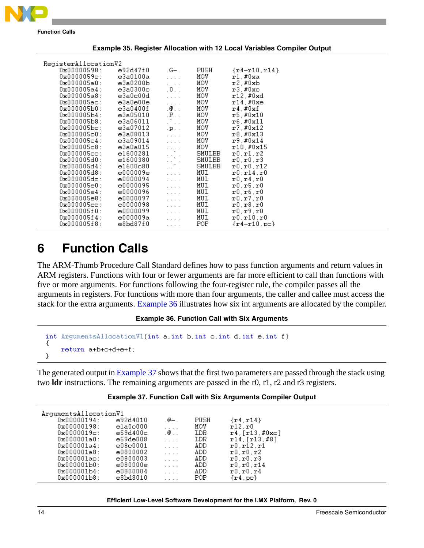

**Function Calls**

<span id="page-13-1"></span>

| RegisterAllocationV2  |          |                                                                                         |        |                     |  |
|-----------------------|----------|-----------------------------------------------------------------------------------------|--------|---------------------|--|
| $0 \times 00000598$ : | e92d47f0 | $-G-$ .                                                                                 | PUSH   | $\{r4 - r10, r14\}$ |  |
| $0x0000059c$ :        | e3a0100a | $\ldots$ .                                                                              | MOV    | $r1$ ,#0xa          |  |
| $0x000005a0$ :        | e3a0200b | $\cdots$                                                                                | MOV    | $r2$ .#0xb          |  |
| $0x000005a4$ :        | e3a0300c | .0.1                                                                                    | MOV    | $r3$ , #0xc         |  |
| $0x000005a8$ :        | e3a0c00d | $\cdots$                                                                                | MOV    | $r12$ , #0xd        |  |
| $0x000005ac$ :        | e3a0e00e | $\ldots$                                                                                | MOV    | $r14$ ,#0xe         |  |
| 0x000005b0:           | e3a0400f | . @. .                                                                                  | MOA    | r4,#0xf             |  |
| $0 \times 000005h4$ : | e3a05010 | $P$ .                                                                                   | MOV    | r5. #0x10           |  |
| $0x000005b8$ :        | e3a06011 | $\mathbb{Z}^N$ .<br>.                                                                   | MOV    | r6, #0x11           |  |
| $0x000005bc$ :        | e3a07012 | $\cdot$ p $\cdot$ $\cdot$                                                               | MOV    | r7,#0x12            |  |
| $0 \times 000005c0$ : | e3a08013 | $\mathcal{L}^{\mathcal{L}}$ , $\mathcal{L}^{\mathcal{L}}$ , $\mathcal{L}^{\mathcal{L}}$ | MOV    | r8,#0x13            |  |
| $0x000005c4$ :        | e3a09014 | $\mathcal{L}^{\pm}$ , $\mathcal{L}^{\pm}$ , $\mathcal{L}^{\pm}$                         | MOV    | r9.#0x14            |  |
| $0 \times 000005c8$ : | e3a0a015 | $\alpha$ , $\alpha$ , $\alpha$                                                          | MOV    | r10, #0x15          |  |
| $0x000005cc$ :        | e1600281 | $\left\{ \begin{array}{c} \lambda_1 \\ \lambda_2 \end{array} \right\}$ .                | SMULBB | r0.r1.r2            |  |
| 0x000005d0:           | e1600380 | $\alpha$ , $\alpha$ , $\alpha$ , $\alpha$                                               | SMULBB | r0.r0.r3            |  |
| $0 \times 000005 d4:$ | e1600c80 | .                                                                                       | SMULBB | r0.r0.r12           |  |
| 0x000005d8:           | e000009e | $\mathcal{L}^{\pm}$ , $\mathcal{L}^{\pm}$ , $\mathcal{L}^{\pm}$                         | MUL    | r0.r14.r0           |  |
| $0x000005dc$ :        | e0000094 | $\cdot$ $\cdot$ $\cdot$ $\cdot$                                                         | MUL    | r0.r4.r0            |  |
| 0x000005e0:           | e0000095 | $\ldots$                                                                                | MUL    | r0, r5, r0          |  |
| 0x000005e4:           | e0000096 | $\mathcal{L}^{\pm}$ , $\mathcal{L}^{\pm}$ , $\mathcal{L}^{\pm}$                         | MUL    | r0.r6.r0            |  |
| $0 \times 000005e8$ : | e0000097 | $\ldots$                                                                                | MUL    | r0.r7.r0            |  |
| $0x000005ec$ :        | e0000098 | $\mathcal{L}^{\pm}$ , $\mathcal{L}^{\pm}$ , $\mathcal{L}^{\pm}$                         | MUL    | r0.r8.r0            |  |
| $0x000005f0$ :        | e0000099 | $\cdot$ $\cdot$ $\cdot$ $\cdot$                                                         | MUL    | r0.r9.r0            |  |
| $0x000005f4$ :        | e000009a | $\ldots$                                                                                | MUL    | r0,r10,r0           |  |
| $0x000005f8$ :        | e8bd87f0 | $\cdots$                                                                                | POP    | $\{r4-r10,pc\}$     |  |

**Example 35. Register Allocation with 12 Local Variables Compiler Output**

# <span id="page-13-0"></span>**6 Function Calls**

The ARM-Thumb Procedure Call Standard defines how to pass function arguments and return values in ARM registers. Functions with four or fewer arguments are far more efficient to call than functions with five or more arguments. For functions following the four-register rule, the compiler passes all the arguments in registers. For functions with more than four arguments, the caller and callee must access the stack for the extra arguments. [Example 36](#page-13-2) illustrates how six int arguments are allocated by the compiler.

**Example 36. Function Call with Six Arguments**

```
int ArgumentsAllocationV1(int a, int b, int c, int d, int e, int f)
₹
    return a+b+c+d+e+f;
у
```
The generated output in [Example 37](#page-13-3) shows that the first two parameters are passed through the stack using two **ldr** instructions. The remaining arguments are passed in the r0, r1, r2 and r3 registers.

<span id="page-13-3"></span>

| ArgumentsAllocationV1     |          |          |      |                                   |
|---------------------------|----------|----------|------|-----------------------------------|
| $0 \times 00000194$ :     | e92d4010 | .@—.     | PUSH | $\{ \mathtt{r4}, \mathtt{r14} \}$ |
| $0 \times 00000198$ :     | e1a0c000 | $\cdots$ | MOV  | r12.r0                            |
| $0x0000019c$ :            | e59d400c | .@       | LDR. | $r4$ , [ $r13$ , #0xc]            |
| $0 \times 000001$ a $0$ : | e59de008 | .        | LDR  | r14. [r13. #8]                    |
| $0x000001a4$ :            | e08c0001 | .        | ADD. | r0.r12.r1                         |
| $0x000001a8$ :            | e0800002 | .        | ADD. | r0.r0.r2                          |
| $0x000001ac$ :            | e0800003 | .        | ADD. | r0.r0.r3                          |
| 0x000001b0:               | e080000e | .        | ADD  | r0.r0.r14                         |
| $0 \times 000001 b4$ :    | e0800004 | .        | ADD. | r0.r0.r4                          |
| $0x000001b8$ :            | e8bd8010 | .        | POP  | {r4.pc}                           |

|  |  | <b>Example 37. Function Call with Six Arguments Compiler Output</b> |  |  |  |
|--|--|---------------------------------------------------------------------|--|--|--|
|--|--|---------------------------------------------------------------------|--|--|--|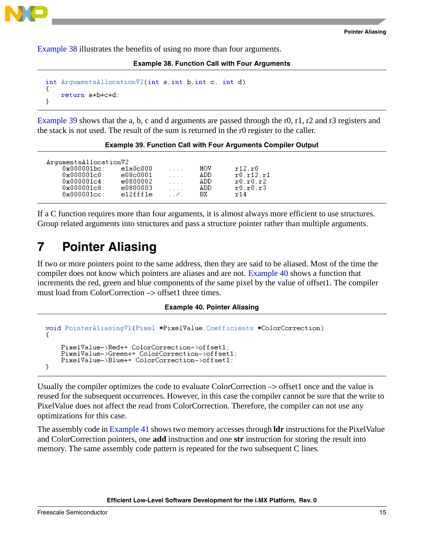

<span id="page-14-1"></span>[Example 38](#page-14-1) illustrates the benefits of using no more than four arguments.

**Example 38. Function Call with Four Arguments**

```
int ArgumentsAllocationV2(int a, int b, int c, int d)
€
    return a+b+c+d;
}
```
[Example 39](#page-14-2) shows that the a, b, c and d arguments are passed through the r0, r1, r2 and r3 registers and the stack is not used. The result of the sum is returned in the r0 register to the caller.

**Example 39. Function Call with Four Arguments Compiler Output**

<span id="page-14-2"></span>

| ArgumentsAllocationV2 |          |                                                     |     |            |
|-----------------------|----------|-----------------------------------------------------|-----|------------|
| $0x000001bc$ :        | e1a0c000 | 1.1.1                                               | MOV | r12.r0     |
| 0x000001c0:           | e08c0001 | 1.1.11                                              | ADD | r0.r12.r1  |
| $0x000001c4$ :        | e0800002 | $\cdots$                                            | ADD | r0.r0.r2   |
| $0 \times 000001c8$ : | e0800003 | $\mathbf{1}$ $\mathbf{1}$ $\mathbf{1}$ $\mathbf{1}$ | ADD | r0, r0, r3 |
| $0x000001cc$ :        | e12fff1e | $\sim$ 1.1 $\sim$                                   | BX. | r14        |

If a C function requires more than four arguments, it is almost always more efficient to use structures. Group related arguments into structures and pass a structure pointer rather than multiple arguments.

# <span id="page-14-0"></span>**7 Pointer Aliasing**

If two or more pointers point to the same address, then they are said to be aliased. Most of the time the compiler does not know which pointers are aliases and are not. [Example 40](#page-14-3) shows a function that increments the red, green and blue components of the same pixel by the value of offset1. The compiler must load from ColorCorrection  $\rightarrow$  offset1 three times.

### **Example 40. Pointer Aliasing**

```
void PointerAliasinqV1(Pixel *PixelValue, Coefficients *ColorCorrection)
-9
    PixelValue->Red+= ColorCorrection->offset1;
    PixelValue->Green+= ColorCorrection->offset1;
    PixelValue->Blue+= ColorCorrection->offset1;
ł.
```
Usually the compiler optimizes the code to evaluate ColorCorrection –> offset1 once and the value is reused for the subsequent occurrences. However, in this case the compiler cannot be sure that the write to PixelValue does not affect the read from ColorCorrection. Therefore, the compiler can not use any optimizations for this case.

The assembly code in [Example 41](#page-15-1) shows two memory accesses through **ldr** instructions for the PixelValue and ColorCorrection pointers, one **add** instruction and one **str** instruction for storing the result into memory. The same assembly code pattern is repeated for the two subsequent C lines.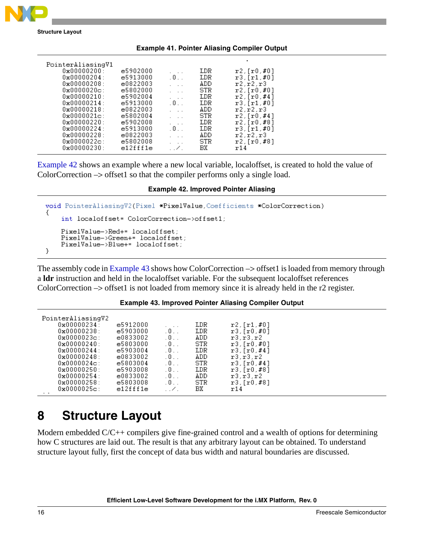

**Structure Layout**

<span id="page-15-1"></span>

|                                                                                                                                                                                                                                                                                                                                   |                                                                                                                                                          |                                                                                                                                                                                                               |                                                                                          | <b>Example 41. Pointer Anasing Complier Output</b>                                                                                                                                                                           |  |
|-----------------------------------------------------------------------------------------------------------------------------------------------------------------------------------------------------------------------------------------------------------------------------------------------------------------------------------|----------------------------------------------------------------------------------------------------------------------------------------------------------|---------------------------------------------------------------------------------------------------------------------------------------------------------------------------------------------------------------|------------------------------------------------------------------------------------------|------------------------------------------------------------------------------------------------------------------------------------------------------------------------------------------------------------------------------|--|
| PointerAliasingV1<br>$0 \times 000000200:$<br>$0 \times 000000204$ :<br>$0 \times 000000208$ :<br>$0 \times 0000020c$ :<br>$0 \times 00000210$ :<br>$0 \times 000000214$ :<br>$0 \times 000000218$ :<br>$0 \times 00000021c$ :<br>$0 \times 00000220$ :<br>$0 \times 000000224$ :<br>0x00000228:<br>$0x0000022c$ :<br>0x00000230: | e5902000<br>e5913000<br>e0822003<br>e5802000<br>e5902004<br>e5913000<br>e0822003<br>e5802004<br>e5902008<br>e5913000<br>e0822003<br>e5802008<br>e12fff1e | $.0.$ .<br>$\cdot$ $\cdot$ $\cdot$<br>$\cdots$<br>$\cdot$ $\cdot$ $\cdot$<br>.0.1<br>$\cdot$ $\cdot$ $\cdot$<br>$\cdots$<br>$\cdot$ $\cdot$ $\cdot$<br>.0.1<br>$\cdot$ $\cdot$ $\cdot$<br>$\cdots$<br>. . 7 . | LDR.<br>LDR<br>ADD<br>STR<br>LDR<br>LDR<br>ADD<br>STR.<br>LDR<br>LDR<br>ADD<br>STR<br>BХ | $r2$ , [ $r0$ , #0]<br>$r3$ , [ $r1, #01$ ]<br>r2.r2.r3<br>$r2$ , [ $r0, #01$ ]<br>r2. [r0. #4]<br>$r3$ , [ $r1, #01$ ]<br>r2.r2.r3<br>r2. [r0. #4]<br>r2,[r0,#8]<br>$r3$ , [ $r1, #01$ ]<br>r2, r2, r3<br>r2.fr0.#81<br>r14 |  |
|                                                                                                                                                                                                                                                                                                                                   |                                                                                                                                                          |                                                                                                                                                                                                               |                                                                                          |                                                                                                                                                                                                                              |  |

**Example 41. Pointer Aliasing Compiler Output**

[Example 42](#page-15-2) shows an example where a new local variable, localoffset, is created to hold the value of ColorCorrection –> offset1 so that the compiler performs only a single load.

### **Example 42. Improved Pointer Aliasing**

```
void PointerAliasingV2(Pixel *PixelValue, Coefficients *ColorCorrection)
₹
    int localoffset= ColorCorrection->offset1;
    PixelValue->Red+= localoffset;
    PixelValue->Green+= localoffset;
    PixelValue->Blue+= localoffset;
}
```
The assembly code in [Example 43](#page-15-3) shows how ColorCorrection  $\rightarrow$  offset1 is loaded from memory through a **ldr** instruction and held in the localoffset variable. For the subsequent localoffset references ColorCorrection –> offset1 is not loaded from memory since it is already held in the r2 register.

### **Example 43. Improved Pointer Aliasing Compiler Output**

<span id="page-15-3"></span>

| PointerAliasingV2<br>$0 \times 000000234$ :<br>$0 \times 00000238:$<br>$0x0000023c$ :<br>$0 \times 000000240$<br>$0 \times 000000244:$<br>$0 \times 00000248$ :<br>$0 \times 0000024c$ :<br>$0 \times 00000250$ :<br>$0 \times 000000254:$<br>$0 \times 00000258$ :<br>$0 \times 0000025c$ :<br>$\sim$ $\sim$ | e5912000<br>e5903000<br>e0833002<br>e5803000<br>e5903004<br>e0833002<br>e5803004<br>e5903008<br>e0833002<br>e5803008<br>e12fff1e | $.0.$ .<br>$.0.$ .<br>$.0.$ .<br>$.0.$ .<br>$.0.$ .<br>$.0.$ .<br>$.0.$ .<br>$.0.$ .<br>.0.1<br>$\ldots$ . | LDR<br>LDR<br>ADD<br>STR<br>LDR<br>ADD<br>STR<br>LDR<br>ADD<br>STR<br>BХ | $r2$ , [ $r1, #0$ ]<br>$r3$ , [ $r0$ , #0]<br>r3.r3.r2<br>r3,[r0,#0]<br>$r3$ , [ $r0$ , #4]<br>r3.r3.r2<br>$r3$ , [ $r0$ , #4]<br>r3,[r0,#8]<br>r3.r3.r2<br>$r3$ , [ $r0, #81$ ]<br>r14 |  |
|---------------------------------------------------------------------------------------------------------------------------------------------------------------------------------------------------------------------------------------------------------------------------------------------------------------|----------------------------------------------------------------------------------------------------------------------------------|------------------------------------------------------------------------------------------------------------|--------------------------------------------------------------------------|-----------------------------------------------------------------------------------------------------------------------------------------------------------------------------------------|--|
|---------------------------------------------------------------------------------------------------------------------------------------------------------------------------------------------------------------------------------------------------------------------------------------------------------------|----------------------------------------------------------------------------------------------------------------------------------|------------------------------------------------------------------------------------------------------------|--------------------------------------------------------------------------|-----------------------------------------------------------------------------------------------------------------------------------------------------------------------------------------|--|

# <span id="page-15-0"></span>**8 Structure Layout**

Modern embedded C/C++ compilers give fine-grained control and a wealth of options for determining how C structures are laid out. The result is that any arbitrary layout can be obtained. To understand structure layout fully, first the concept of data bus width and natural boundaries are discussed.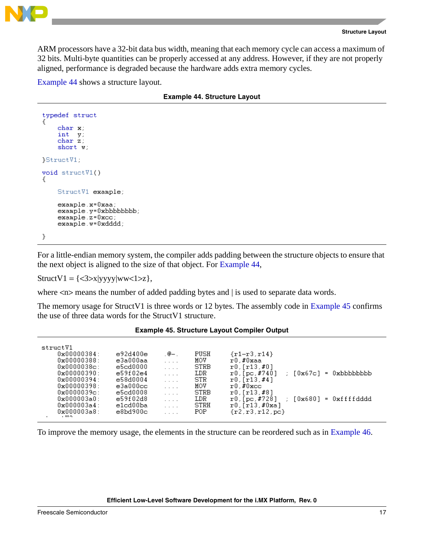

```
Structure Layout
```
ARM processors have a 32-bit data bus width, meaning that each memory cycle can access a maximum of 32 bits. Multi-byte quantities can be properly accessed at any address. However, if they are not properly aligned, performance is degraded because the hardware adds extra memory cycles.

<span id="page-16-0"></span>[Example 44](#page-16-0) shows a structure layout.

|  |  |  | <b>Example 44. Structure Layout</b> |  |
|--|--|--|-------------------------------------|--|
|--|--|--|-------------------------------------|--|

```
typedef struct
    char x;
    int y;
    char(z)short w;
StructV1:
void structV1()
€
    StructV1 example;
    example.x=0xaa;
    example.y=0xbbbbbbbb;
    example.z = 0xcc;example.w=0xdddd;
у
```
For a little-endian memory system, the compiler adds padding between the structure objects to ensure that the next object is aligned to the size of that object. For [Example 44](#page-16-0),

 $StructV1 = \{<3> x|yyy|ww<1>z\},\$ 

where  $\langle n \rangle$  means the number of added padding bytes and | is used to separate data words.

The memory usage for StructV1 is three words or 12 bytes. The assembly code in [Example 45](#page-16-1) confirms the use of three data words for the StructV1 structure.

<span id="page-16-1"></span>

| structV1                             |          |                                 |             |                                                |
|--------------------------------------|----------|---------------------------------|-------------|------------------------------------------------|
|                                      |          |                                 |             |                                                |
| $0 \times 000000384$ :               | e92d400e | .⊚—.                            | PUSH        | $\{r1-r3, r14\}$                               |
| $0 \times 00000388:$                 | e3a000aa | 1.1.1                           | MOV         | r0,#0xaa                                       |
| $0 \times 0000038c$ :                | e5cd0000 | $\cdot$ $\cdot$ $\cdot$ $\cdot$ | <b>STRB</b> | r0,[r13,#0]                                    |
| $0 \times 000000390$ :               | e59f02e4 | $\cdot$ $\cdot$ $\cdot$ $\cdot$ | LDR         | = 0xbbbbbbbb<br>$r0$ , [pc, #740]<br>: [Ox67c] |
| $0 \times 000000394:$                | e58d0004 | 1.1111                          | STR.        | $r0$ , [ $r13$ , #4]                           |
| $0 \times 000000398:$                | e3a000cc | $\cdot$ $\cdot$ $\cdot$ $\cdot$ | MOV         | $r0$ .#0xcc                                    |
| $0 \times 0000039c$ :                | e5cd0008 | $\cdot$ $\cdot$ $\cdot$ $\cdot$ | STRB        | r0.fr13.#81                                    |
| $0 \times 000003$ a $0$ :            | e59f02d8 | .                               | LDR.        | = 0xffffdddd<br>: [Ox680]<br>r0, [pc,#728]     |
| 0x000003a4:                          | e1cd00ba | $\cdot$ $\cdot$ $\cdot$ $\cdot$ | STRH        | r0, [r13,#0xa]                                 |
| $0x000003a8$ :<br>$1.77 \, \text{O}$ | e8b4900c |                                 | POP.        | $\{r2, r3, r12, pc\}$                          |

### **Example 45. Structure Layout Compiler Output**

To improve the memory usage, the elements in the structure can be reordered such as in [Example 46](#page-17-1).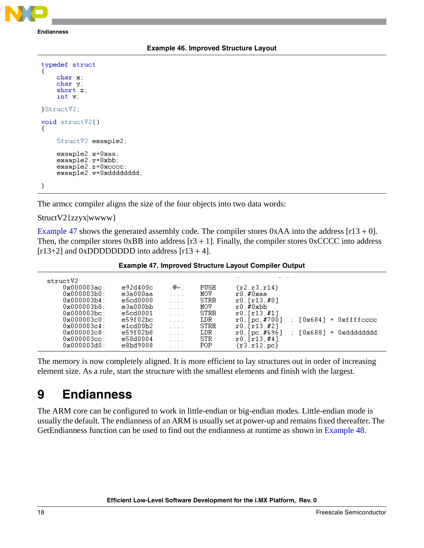<span id="page-17-1"></span>**Endianness**

### **Example 46. Improved Structure Layout**

| typedef struct                                                                       |
|--------------------------------------------------------------------------------------|
| char x;<br>char y;<br>short z:<br>int w:                                             |
| StructV2.                                                                            |
| void structV2()<br>ſ                                                                 |
| StructV2 example2;                                                                   |
| example2.x=0xaa;<br>example2.y=0xbb;<br>example2.z=0xcccc;<br>example2.w=0xdddddddd; |
|                                                                                      |

The armcc compiler aligns the size of the four objects into two data words:

StructV2{zzyx|wwww}

[Example 47](#page-17-2) shows the generated assembly code. The compiler stores  $0xAA$  into the address  $[r13 + 0]$ . Then, the compiler stores  $0xBB$  into address  $[r3 + 1]$ . Finally, the compiler stores  $0xCCCC$  into address  $[r13+2]$  and 0xDDDDDDDD into address  $[r13+4]$ .

**Example 47. Improved Structure Layout Compiler Output**

<span id="page-17-2"></span>

| structV2<br>$0x000003ac$ :<br>$0 \times 000003 b0$ : | e92d400c<br>e3a000aa | .@—.<br>$\cdots$                | PUSH<br>MOV | $\{r2, r3, r14\}$<br>r0.#0xaa |                                          |
|------------------------------------------------------|----------------------|---------------------------------|-------------|-------------------------------|------------------------------------------|
| $0 \times 000003h4$ :                                | e5cd0000             | $\cdot$ $\cdot$ $\cdot$ $\cdot$ | <b>STRB</b> | $r0$ , [ $r13$ , #0]          |                                          |
| $0 \times 000003 b8$ :                               | e3a000bb             | $\cdot$ $\cdot$ $\cdot$ $\cdot$ | MOV         | $r0$ , #0xbb                  |                                          |
| $0 \times 000003$ bc:                                | e5cd0001             | $\cdots$                        | <b>STRB</b> | $r0$ , [ $r13$ , #1]          |                                          |
| $0 \times 000003c0$ :                                | e59f02bc             | $\cdot$ $\cdot$ $\cdot$ $\cdot$ | LDR.        | $r0.$ [pc.#700]               | = Oxffffcccc<br>[0x684]<br>$\mathcal{L}$ |
| $0 \times 000003c4$ :                                | e1cd00b2             | $\cdot$ $\cdot$ $\cdot$ $\cdot$ | STRH        | $r0$ , [ $r13$ , #2]          |                                          |
| $0 \times 000003c8$ :                                | e59f02b8             | $\cdot$ $\cdot$ $\cdot$ $\cdot$ | LDR.        | $r0$ , [pc, #696]             | 0xdddddddd<br>[0x688]<br>$\sim$<br>$=$   |
| $0 \times 000003$ cc:                                | e58d0004             | $\cdot$ $\cdot$ $\cdot$ $\cdot$ | STR.        | $r0$ , [ $r13$ , #4]          |                                          |
| $0 \times 000003$ d $0$ :                            | e8bd9008             | .                               | <b>POP</b>  | $\{r3, r12, pc\}$             |                                          |

The memory is now completely aligned. It is more efficient to lay structures out in order of increasing element size. As a rule, start the structure with the smallest elements and finish with the largest.

# <span id="page-17-0"></span>**9 Endianness**

The ARM core can be configured to work in little-endian or big-endian modes. Little-endian mode is usually the default. The endianness of an ARM is usually set at power-up and remains fixed thereafter. The GetEndianness function can be used to find out the endianness at runtime as shown in [Example 48](#page-18-1).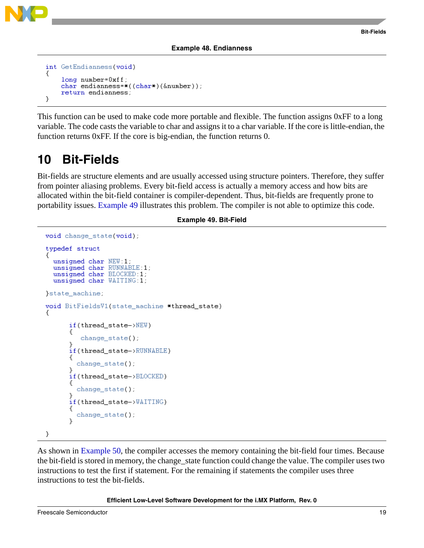

### **Example 48. Endianness**

```
int GetEndianness(void)
₹
    long number=0xff;
    char endianness=*(\text{(char*}) (\& \text{number});
    return endianness;
У
```
This function can be used to make code more portable and flexible. The function assigns 0xFF to a long variable. The code casts the variable to char and assigns it to a char variable. If the core is little-endian, the function returns 0xFF. If the core is big-endian, the function returns 0.

# <span id="page-18-0"></span>**10 Bit-Fields**

Bit-fields are structure elements and are usually accessed using structure pointers. Therefore, they suffer from pointer aliasing problems. Every bit-field access is actually a memory access and how bits are allocated within the bit-field container is compiler-dependent. Thus, bit-fields are frequently prone to portability issues. [Example 49](#page-18-2) illustrates this problem. The compiler is not able to optimize this code.

### **Example 49. Bit-Field**

```
void change state(void);
typedef struct
  unsigned char NEW:1:
  unsigned char RUNNABLE:1;
  unsigned char BLOCKED:1;
  unsigned char WAITING:1;
state_machine;
void BitFieldsV1(state_machine *thread_state)
ſ
      if(thread_state->NEW)
      €
         change_state();
      if(thread_state->RUNNABLE)
      €
        change\_state();
      if(thread_state->BLOCKED)
        change state();
      if(thread_state->WAITING)
      ſ
        change_state();
      Υ
3
```
As shown in [Example 50](#page-19-0), the compiler accesses the memory containing the bit-field four times. Because the bit-field is stored in memory, the change\_state function could change the value. The compiler uses two instructions to test the first if statement. For the remaining if statements the compiler uses three instructions to test the bit-fields.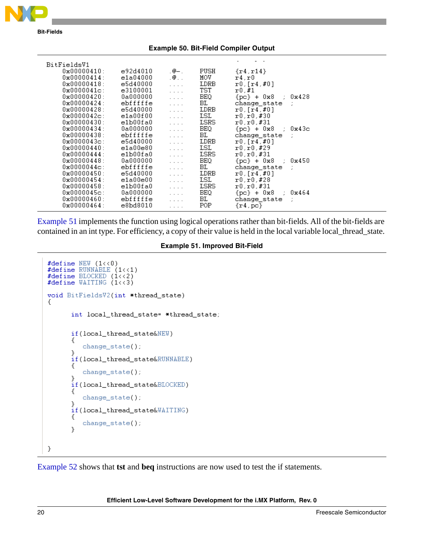<span id="page-19-0"></span>

[Example 51](#page-19-1) implements the function using logical operations rather than bit-fields. All of the bit-fields are contained in an int type. For efficiency, a copy of their value is held in the local variable local\_thread\_state.

```
#define NEW (1\langle 0 \rangle)#define RUNNABLE (1\langle 1]#define BLOCKED (1\langle \langle 2 \rangle)#define WAITING (1\langle \langle 3 \rangle)void BitFieldsV2(int *thread_state)
-{
       int local_thread_state= *thread_state;
       if(local_thread_state&NEW)
       ₹
           change_state();
       3
       if(local_thread_state&RUNNABLE)
       €
           change_state();
       B
       if(local_thread_state&BLOCKED)
       ₹
           change\_state();
       P
       if(local_thread_state&WAITING)
       -0
           change\_state();
       }
}
```
[Example 52](#page-20-1) shows that **tst** and **beq** instructions are now used to test the if statements.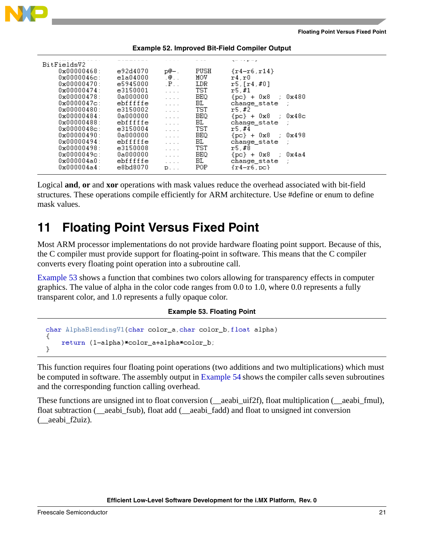

<span id="page-20-1"></span>

| BitFieldsV2            |          |                                 |            | $\mathbf{v} = -\mathbf{v} \cdot \mathbf{r} = \mathbf{v}$ |
|------------------------|----------|---------------------------------|------------|----------------------------------------------------------|
| $0 \times 000000468$ : | e92d4070 | p@—.                            | PUSH       | $\{r4-r6, r14\}$                                         |
| $0 \times 00000046c$ : | e1a04000 | $. @.$ .                        | MOV        | r4.r0                                                    |
| $0 \times 00000470$ :  | e5945000 | $\cdot$ P $\cdot$ $\cdot$       | LDR        | r5/[r4, #0]                                              |
| $0 \times 000000474$ : | e3150001 | $\cdot$ $\cdot$ $\cdot$ $\cdot$ | TST        | r5.#1                                                    |
| $0 \times 000000478$ : | 0a000000 | $\cdot$ $\cdot$ $\cdot$ $\cdot$ | <b>BEQ</b> | ${po}$ + 0x8 ; 0x480                                     |
| $0 \times 0000047c$ :  | ebfffffe | .                               | BL.        | change state ;                                           |
| $0 \times 000000480$ : | e3150002 | $\cdot$ $\cdot$ $\cdot$ $\cdot$ | TST        | r5.#2                                                    |
| $0 \times 000000484$ : | 0a000000 | $\cdot$ $\cdot$ $\cdot$ $\cdot$ | BEQ        | ${po}$ + 0x8 ; 0x48c                                     |
| $0 \times 000000488:$  | ebfffffe | .                               | BL.        | change state ;                                           |
| $0 \times 00000048c$ : | e3150004 | $\cdot$ $\cdot$ $\cdot$ $\cdot$ | TST        | x5.#4                                                    |
| $0 \times 000000490$ : | 0a000000 | $\cdot$ $\cdot$ $\cdot$         | BEO.       | ${po}$ + 0x8 : 0x498                                     |
| $0 \times 000000494$ : | ebfffffe |                                 | BL.        | change state ;                                           |
| 0x00000498:            | e3150008 | .                               | TST        | r5,#8                                                    |
| $0 \times 00000049c$ : | 0a000000 | $\cdot$ $\cdot$ $\cdot$ $\cdot$ | BEQ        | ${pc}$ + $0x8$<br>: 0x4a4                                |
| $0x000004a0$ :         | ebfffffe | $\cdot$ $\cdot$ $\cdot$         | ВL         | change state<br>- 11                                     |
| $0 \times 0000004a4:$  | e8bd8070 | $\cdot$ $\cdot$ $\cdot$ $\cdot$ | POP.       | $\{r4-r6,pc\}$                                           |
|                        |          | $P \cdot \cdot \cdot$           |            |                                                          |

#### **Example 52. Improved Bit-Field Compiler Output**

Logical **and**, **or** and **xor** operations with mask values reduce the overhead associated with bit-field structures. These operations compile efficiently for ARM architecture. Use #define or enum to define mask values.

# <span id="page-20-0"></span>**11 Floating Point Versus Fixed Point**

Most ARM processor implementations do not provide hardware floating point support. Because of this, the C compiler must provide support for floating-point in software. This means that the C compiler converts every floating point operation into a subroutine call.

[Example 53](#page-20-2) shows a function that combines two colors allowing for transparency effects in computer graphics. The value of alpha in the color code ranges from 0.0 to 1.0, where 0.0 represents a fully transparent color, and 1.0 represents a fully opaque color.

### **Example 53. Floating Point**

```
char AlphaBlendingV1(char color_a,char color_b,float alpha)
Κ
    return (1-alpha)*color_a+alpha*color_b;
}
```
This function requires four floating point operations (two additions and two multiplications) which must be computed in software. The assembly output in [Example 54](#page-21-0) shows the compiler calls seven subroutines and the corresponding function calling overhead.

These functions are unsigned int to float conversion (\_\_aeabi\_uif2f), float multiplication (\_\_aeabi\_fmul), float subtraction (\_\_aeabi\_fsub), float add (\_\_aeabi\_fadd) and float to unsigned int conversion (\_\_aeabi\_f2uiz).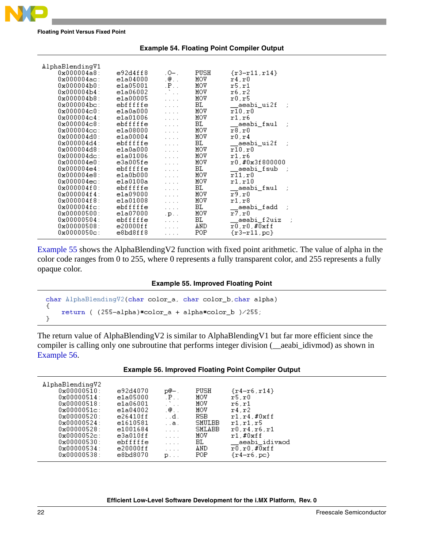

<span id="page-21-0"></span>**Floating Point Versus Fixed Point**

### **Example 54. Floating Point Compiler Output**

| AlphaBlendingV1         |           |                                 |      |                     |
|-------------------------|-----------|---------------------------------|------|---------------------|
| $0x000004a8$ :          | e92d4ff8  | $.0-.$                          | PUSH | $\{r3 - r11, r14\}$ |
| $0x000004ac$ :          | e1a04000  | $\cdot$ $\circ$                 | MOA  | r4.r0               |
| 0x000004b0:             | e1a05001  | $\cdot$ P $\cdot$ $\cdot$       | MOV  | r5.r1               |
| $0 \times 000004 h4$ :  | e1a06002  | D.                              | MOV  | r6.r2               |
| $0 \times 0000004 b8$ : | e1a00005  | $\cdots$                        | MOV  | r0.r5               |
| $0x000004bc$ :          | ebfffffe  | $\cdot$ $\cdot$ $\cdot$ $\cdot$ | BL.  | aeabi ui2f          |
| $0x000004c0$ :          | e1a0a000  | $\cdot$ $\cdot$ $\cdot$ $\cdot$ | MOA  | r10, r0             |
| $0 \times 0000004c4$ :  | e1a01006  | $\cdot$ $\cdot$ $\cdot$ $\cdot$ | MOV  | r1.r6               |
| $0x000004c8$ :          | ebfffffe  | $\cdot$ $\cdot$ $\cdot$ $\cdot$ | BL.  | aeabi fmul          |
| $0x000004cc$ :          | e1a08000  | $\ldots$                        | MOV  | r8.r0               |
| 0x000004d0:             | e1a00004  | $\cdot$ $\cdot$ $\cdot$ $\cdot$ | MOV  | r0.r4               |
| 0x000004d4:             | ebfffffe  | $\cdot$ $\cdot$ $\cdot$ $\cdot$ | BL.  | __aeabi_ui2f        |
| 0x000004d8:             | e1a0a000  | $\cdot$ $\cdot$ $\cdot$ $\cdot$ | MOA  | r10.r0              |
| $0x000004dc$ :          | e1a01006  | $\cdot$ $\cdot$ $\cdot$ $\cdot$ | MOV  | r1.r6               |
| $0 \times 000004 = 0$ : | e3a005fe  | $\cdot$ $\cdot$ $\cdot$ $\cdot$ | MOV  | r0.#0x3f800000      |
| 0x000004e4:             | ebfffffe  | $\cdot$ $\cdot$ $\cdot$ $\cdot$ | BL   | aeabi fsub          |
| $0 \times 000004e8$ :   | e1a0b000  | $\cdot$ $\cdot$ $\cdot$ $\cdot$ | MOV  | r11.r0              |
| $0x000004ec$ :          | e1a0100a  | $\cdot$ $\cdot$ $\cdot$ $\cdot$ | MOA  | r1.r10              |
| $0 \times 0000004f0:$   | ebfffffe  | .                               | BL   | aeabi_fmul_         |
| $0 \times 0000004f4$ :  | e1a09000  | $\ldots$                        | MOV  | x9, x0              |
| $0x000004f8$ :          | e1a01008  | $\cdots$                        | MOV  | r1, r8              |
| $0 \times 000004fc$ :   | ebfffffe  | $\ldots$                        | BL.  | aeabi_fadd_         |
| $0 \times 000000500:$   | e1a07000  | $\cdot$ p $\cdot$ $\cdot$       | MOV  | r7.r0               |
| 0x00000504:             | ebfffffe  | $\cdots$                        | BL.  | aeabi_f2uiz         |
| $0 \times 000000508$ :  | e20000f f | .                               | AND. | $r0, r0, \#0$ xff   |
| $0x0000050c$ :          | e8bd8ff8  | $\ldots$ .                      | POP  | $\{r3-r11,pc\}$     |
|                         |           |                                 |      |                     |

[Example 55](#page-21-1) shows the AlphaBlendingV2 function with fixed point arithmetic. The value of alpha in the color code ranges from 0 to 255, where 0 represents a fully transparent color, and 255 represents a fully opaque color.

### **Example 55. Improved Floating Point**

```
char AlphaBlendingV2(char color_a, char color_b, char alpha)
    return ( (255–alpha) * color_a + alpha * color_b )/255;
J.
```
The return value of AlphaBlendingV2 is similar to AlphaBlendingV1 but far more efficient since the compiler is calling only one subroutine that performs integer division (\_\_aeabi\_idivmod) as shown in [Example 56.](#page-21-2)

<span id="page-21-2"></span>

| AlphaBlendingV2<br>$0 \times 00000510$ :<br>$0 \times 000000514$ :<br>$0 \times 000000518$ :<br>$0 \times 0000051c$ :<br>$0 \times 00000520$ :<br>$0 \times 00000524$ :<br>$0 \times 00000528$ :<br>$0 \times 0000052c$ :<br>$0 \times 00000530:$<br>$0 \times 00000534:$<br>$0 \times 000000538$ : | e92d4070<br>e1a05000<br>e1a06001<br>e1a04002<br>e26410ff<br>e1610581<br>e1001684<br>e3a010ff<br>ebfffffe<br>e20000f f<br>e8bd8070 | p@—.<br>$\cdot$ P $\cdot$ $\cdot$<br>$. @.$ .<br>. .d.<br>. .а.<br>.<br>.<br>.<br>.<br>$P \cdot \cdot \cdot$ | PUSH<br>MOV<br>MOA<br>MOV<br>RSB.<br>SMULBB<br>SMLABB<br>MOV<br>BL.<br>AND<br><b>POP</b> | $\{r4-r6, r14\}$<br>r5.r0<br>r6.r1<br>r4.r2<br>r1.r4.f0xff<br>r1.r1.r5<br>r0.r4.r6.r1<br>r1. #0xff<br>aeabi_idivmod<br>$r0.r0$ , $\#0$ xff<br>$\{r4-r6,pc\}$ |  |
|-----------------------------------------------------------------------------------------------------------------------------------------------------------------------------------------------------------------------------------------------------------------------------------------------------|-----------------------------------------------------------------------------------------------------------------------------------|--------------------------------------------------------------------------------------------------------------|------------------------------------------------------------------------------------------|--------------------------------------------------------------------------------------------------------------------------------------------------------------|--|
|-----------------------------------------------------------------------------------------------------------------------------------------------------------------------------------------------------------------------------------------------------------------------------------------------------|-----------------------------------------------------------------------------------------------------------------------------------|--------------------------------------------------------------------------------------------------------------|------------------------------------------------------------------------------------------|--------------------------------------------------------------------------------------------------------------------------------------------------------------|--|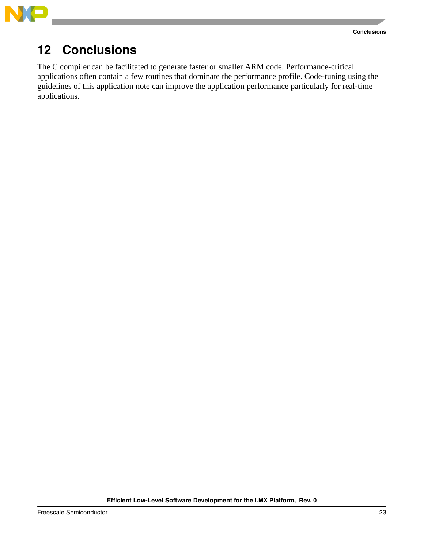



# <span id="page-22-0"></span>**12 Conclusions**

The C compiler can be facilitated to generate faster or smaller ARM code. Performance-critical applications often contain a few routines that dominate the performance profile. Code-tuning using the guidelines of this application note can improve the application performance particularly for real-time applications.